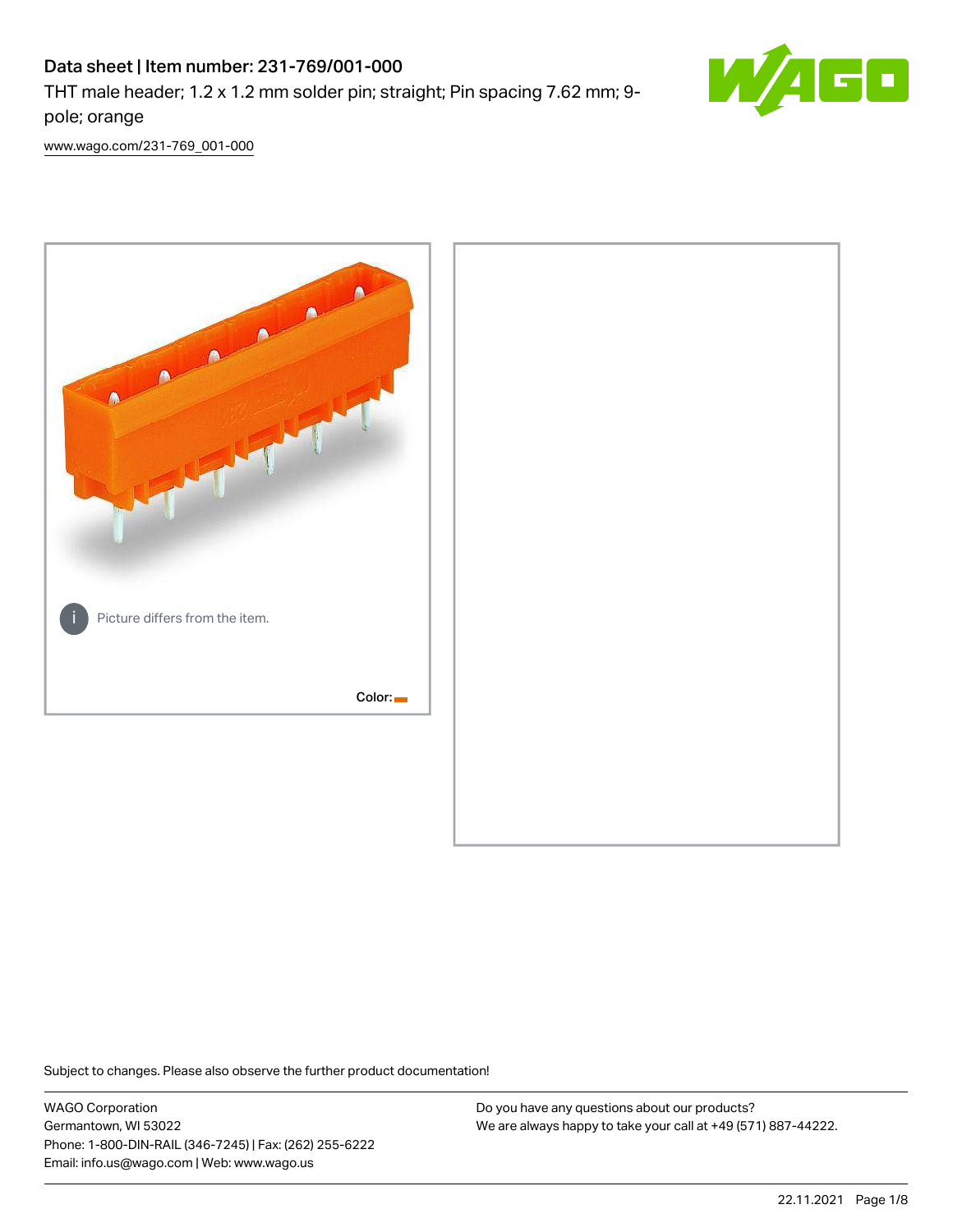# Data sheet | Item number: 231-769/001-000

THT male header; 1.2 x 1.2 mm solder pin; straight; Pin spacing 7.62 mm; 9 pole; orange



[www.wago.com/231-769\\_001-000](http://www.wago.com/231-769_001-000)



Subject to changes. Please also observe the further product documentation!

WAGO Corporation Germantown, WI 53022 Phone: 1-800-DIN-RAIL (346-7245) | Fax: (262) 255-6222 Email: info.us@wago.com | Web: www.wago.us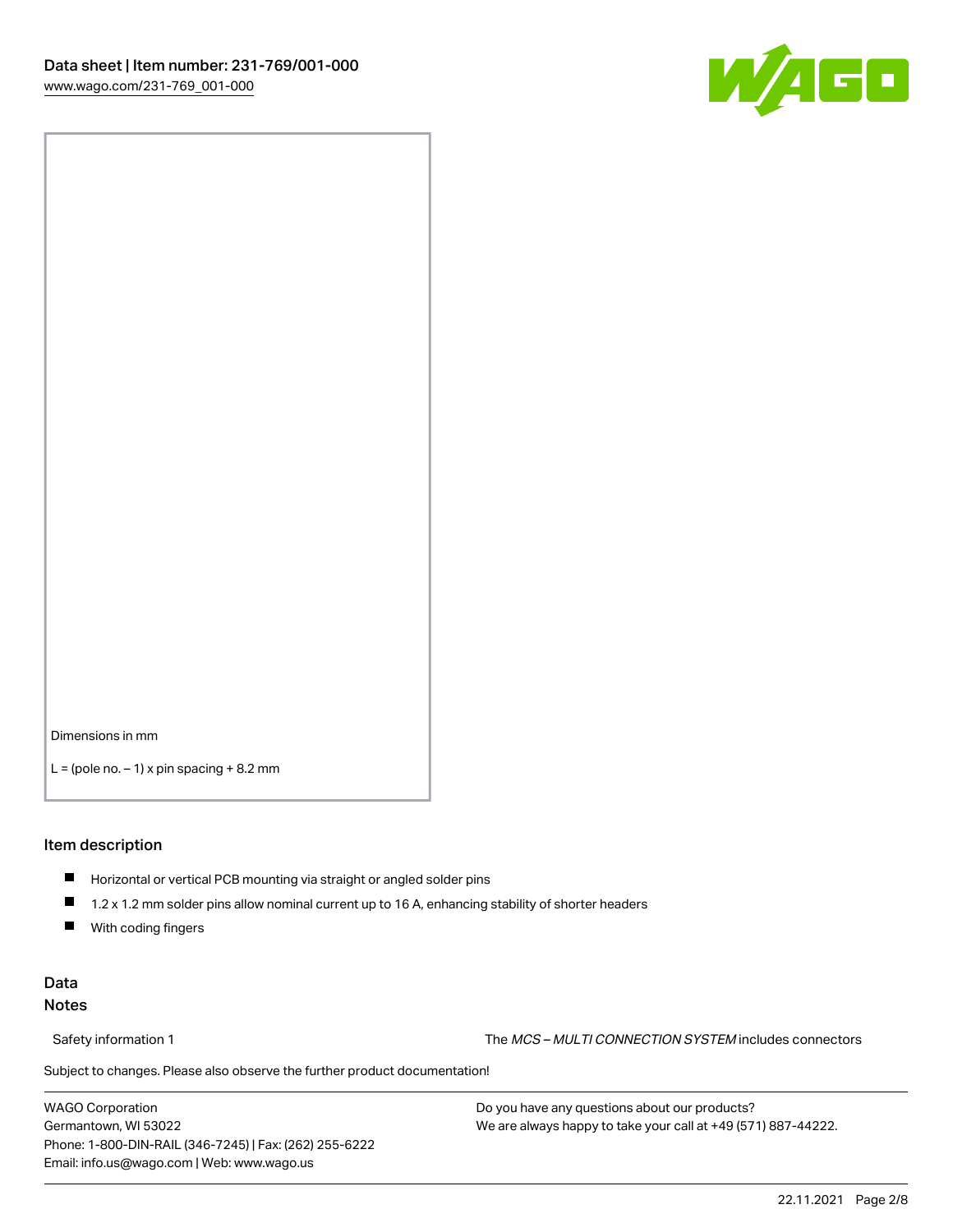

Dimensions in mm

 $L =$  (pole no.  $-1$ ) x pin spacing  $+8.2$  mm

#### Item description

- **Horizontal or vertical PCB mounting via straight or angled solder pins**
- 1.2 x 1.2 mm solder pins allow nominal current up to 16 A, enhancing stability of shorter headers
- $\blacksquare$ With coding fingers

# Data Notes

Safety information 1 The MCS – MULTI CONNECTION SYSTEM includes connectors

Subject to changes. Please also observe the further product documentation!  $\nu$ 

WAGO Corporation Germantown, WI 53022 Phone: 1-800-DIN-RAIL (346-7245) | Fax: (262) 255-6222 Email: info.us@wago.com | Web: www.wago.us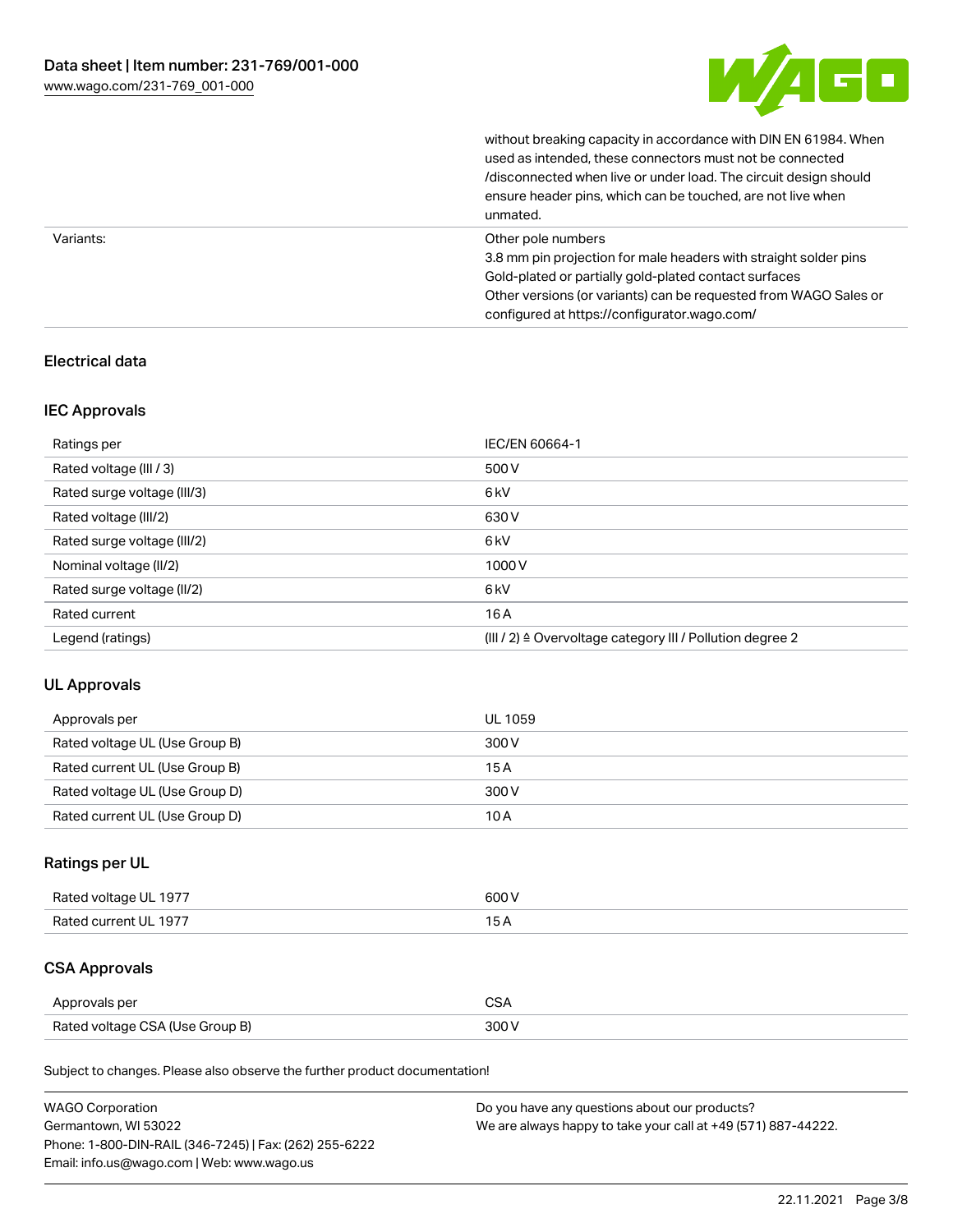

without breaking capacity in accordance with DIN EN 61984. When

|           | used as intended, these connectors must not be connected<br>/disconnected when live or under load. The circuit design should<br>ensure header pins, which can be touched, are not live when<br>unmated.                                                             |
|-----------|---------------------------------------------------------------------------------------------------------------------------------------------------------------------------------------------------------------------------------------------------------------------|
| Variants: | Other pole numbers<br>3.8 mm pin projection for male headers with straight solder pins<br>Gold-plated or partially gold-plated contact surfaces<br>Other versions (or variants) can be requested from WAGO Sales or<br>configured at https://configurator.wago.com/ |

# Electrical data

# IEC Approvals

| Ratings per                 | IEC/EN 60664-1                                                        |
|-----------------------------|-----------------------------------------------------------------------|
| Rated voltage (III / 3)     | 500 V                                                                 |
| Rated surge voltage (III/3) | 6kV                                                                   |
| Rated voltage (III/2)       | 630 V                                                                 |
| Rated surge voltage (III/2) | 6 <sub>kV</sub>                                                       |
| Nominal voltage (II/2)      | 1000V                                                                 |
| Rated surge voltage (II/2)  | 6 <sub>kV</sub>                                                       |
| Rated current               | 16A                                                                   |
| Legend (ratings)            | $(III / 2)$ $\triangle$ Overvoltage category III / Pollution degree 2 |

# UL Approvals

| Approvals per                  | UL 1059 |
|--------------------------------|---------|
| Rated voltage UL (Use Group B) | 300 V   |
| Rated current UL (Use Group B) | 15A     |
| Rated voltage UL (Use Group D) | 300 V   |
| Rated current UL (Use Group D) | 10A     |

# Ratings per UL

| Rated voltage UL 1977 | 600 V |
|-----------------------|-------|
| Rated current UL 1977 |       |

# CSA Approvals

| Approvals per                   | ~~    |
|---------------------------------|-------|
| Rated voltage CSA (Use Group B) | 3UU 1 |

Subject to changes. Please also observe the further product documentation!

| <b>WAGO Corporation</b>                                | Do you have any questions about our products?                 |
|--------------------------------------------------------|---------------------------------------------------------------|
| Germantown, WI 53022                                   | We are always happy to take your call at +49 (571) 887-44222. |
| Phone: 1-800-DIN-RAIL (346-7245)   Fax: (262) 255-6222 |                                                               |
| Email: info.us@wago.com   Web: www.wago.us             |                                                               |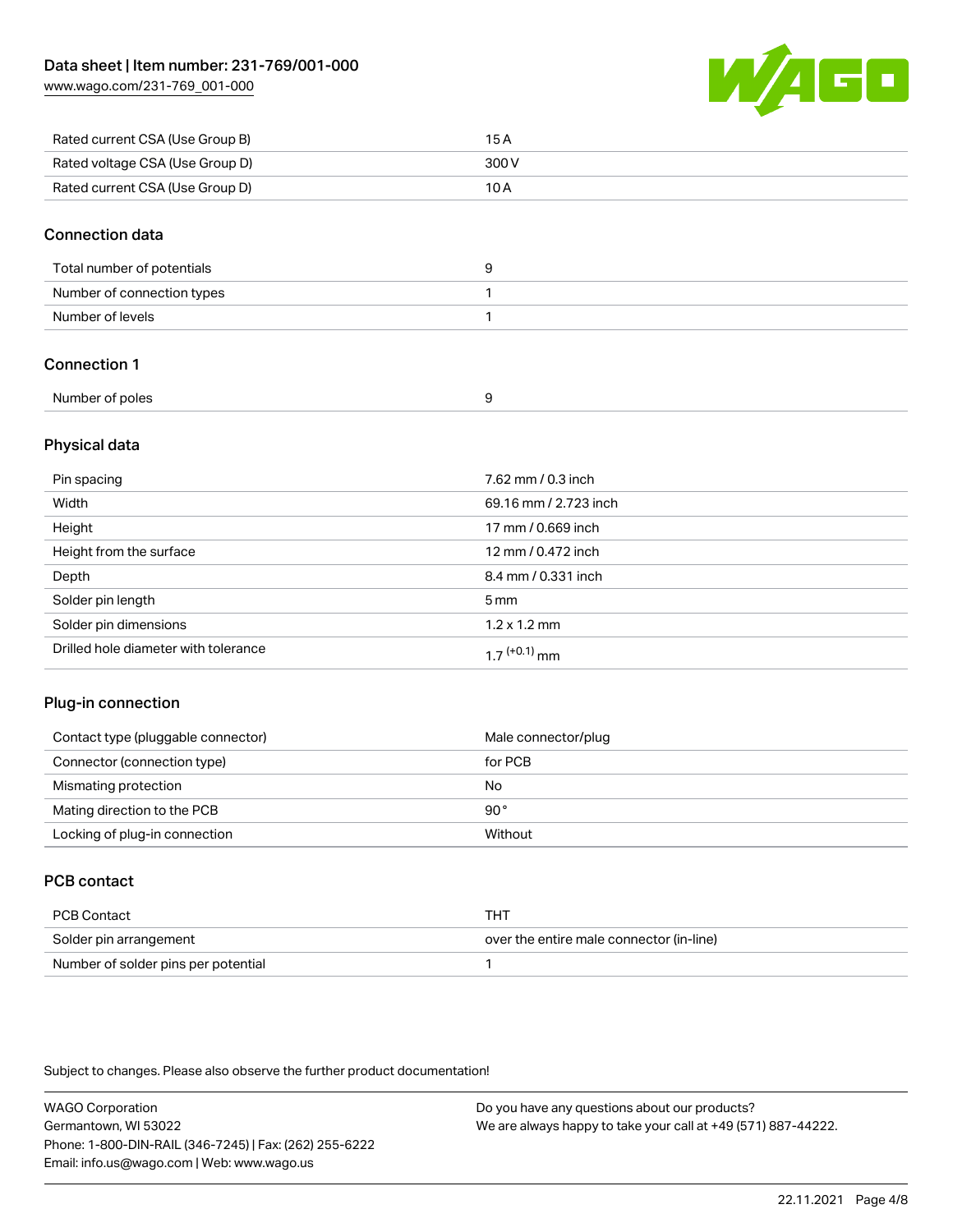[www.wago.com/231-769\\_001-000](http://www.wago.com/231-769_001-000)



| Rated current CSA (Use Group B) | 15 A  |
|---------------------------------|-------|
| Rated voltage CSA (Use Group D) | 300 V |
| Rated current CSA (Use Group D) | 10 A  |

#### Connection data

| Total number of potentials |  |
|----------------------------|--|
| Number of connection types |  |
| Number of levels           |  |

# Connection 1

| Number of poles |  |
|-----------------|--|
|                 |  |

# Physical data

| Pin spacing                          | 7.62 mm / 0.3 inch    |
|--------------------------------------|-----------------------|
| Width                                | 69.16 mm / 2.723 inch |
| Height                               | 17 mm / 0.669 inch    |
| Height from the surface              | 12 mm / 0.472 inch    |
| Depth                                | 8.4 mm / 0.331 inch   |
| Solder pin length                    | 5 <sub>mm</sub>       |
| Solder pin dimensions                | $1.2 \times 1.2$ mm   |
| Drilled hole diameter with tolerance | $17^{(+0.1)}$ mm      |

# Plug-in connection

| Contact type (pluggable connector) | Male connector/plug |
|------------------------------------|---------------------|
| Connector (connection type)        | for PCB             |
| Mismating protection               | No                  |
| Mating direction to the PCB        | 90°                 |
| Locking of plug-in connection      | Without             |

# PCB contact

| PCB Contact                         | THT                                      |
|-------------------------------------|------------------------------------------|
| Solder pin arrangement              | over the entire male connector (in-line) |
| Number of solder pins per potential |                                          |

Subject to changes. Please also observe the further product documentation!

WAGO Corporation Germantown, WI 53022 Phone: 1-800-DIN-RAIL (346-7245) | Fax: (262) 255-6222 Email: info.us@wago.com | Web: www.wago.us Do you have any questions about our products? We are always happy to take your call at +49 (571) 887-44222.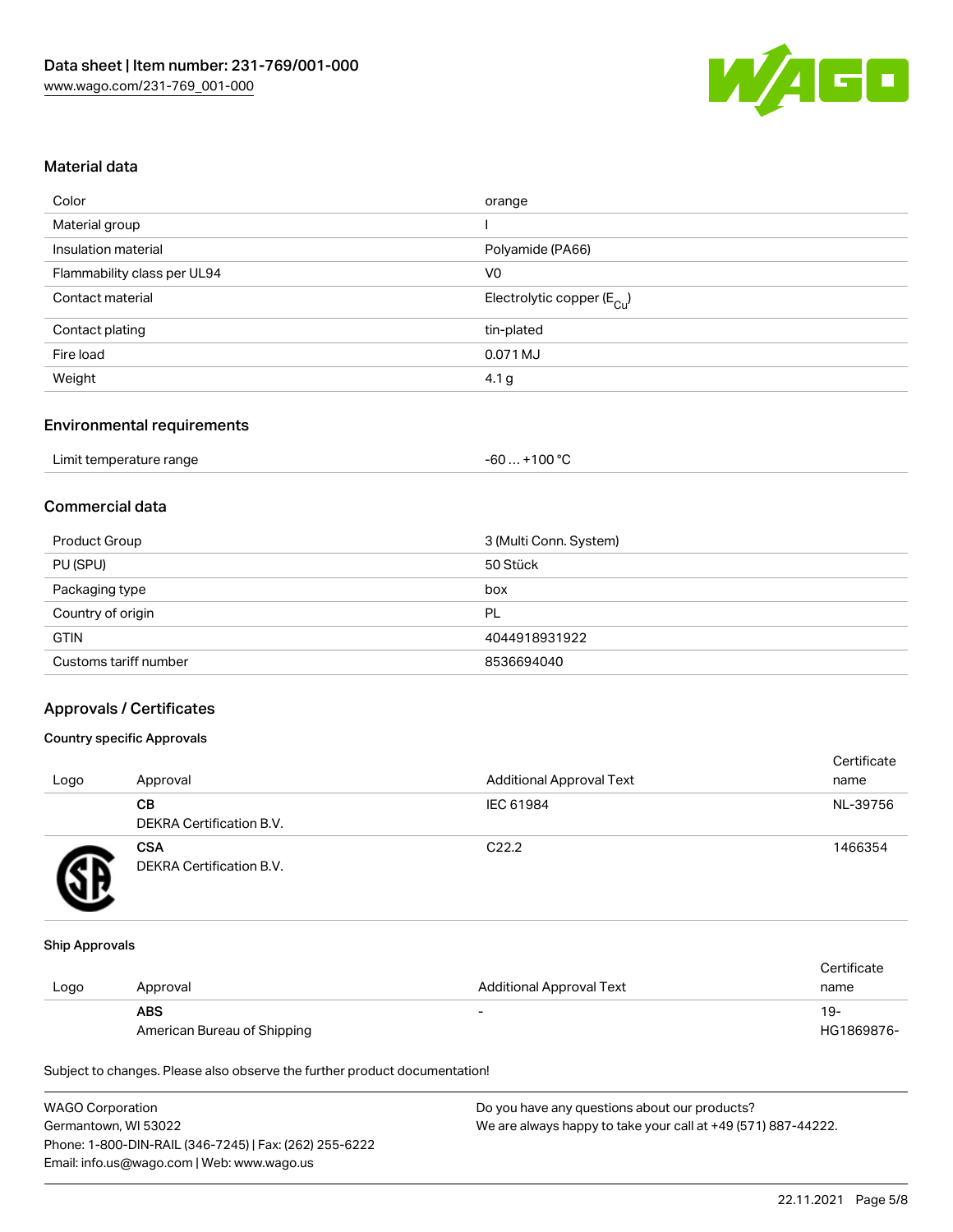

#### Material data

| orange                                 |
|----------------------------------------|
|                                        |
| Polyamide (PA66)                       |
| V <sub>0</sub>                         |
| Electrolytic copper (E <sub>Cu</sub> ) |
| tin-plated                             |
| 0.071 MJ                               |
| 4.1 <sub>g</sub>                       |
|                                        |

# Environmental requirements

| Limit temperature range | . +100 °C<br>-60 |
|-------------------------|------------------|
|-------------------------|------------------|

# Commercial data

| Product Group         | 3 (Multi Conn. System) |
|-----------------------|------------------------|
| PU (SPU)              | 50 Stück               |
| Packaging type        | box                    |
| Country of origin     | PL                     |
| <b>GTIN</b>           | 4044918931922          |
| Customs tariff number | 8536694040             |

#### Approvals / Certificates

#### Country specific Approvals

| Logo | Approval                               | <b>Additional Approval Text</b> | Certificate<br>name |
|------|----------------------------------------|---------------------------------|---------------------|
|      | CВ<br><b>DEKRA Certification B.V.</b>  | IEC 61984                       | NL-39756            |
|      | <b>CSA</b><br>DEKRA Certification B.V. | C <sub>22.2</sub>               | 1466354             |

#### Ship Approvals

|      |                             |                          | Certificate |
|------|-----------------------------|--------------------------|-------------|
| Logo | Approval                    | Additional Approval Text | name        |
|      | <b>ABS</b>                  |                          | 19-         |
|      | American Bureau of Shipping |                          | HG1869876-  |

Subject to changes. Please also observe the further product documentation!

| <b>WAGO Corporation</b>                                | Do you have any questions about our products?                 |
|--------------------------------------------------------|---------------------------------------------------------------|
| Germantown, WI 53022                                   | We are always happy to take your call at +49 (571) 887-44222. |
| Phone: 1-800-DIN-RAIL (346-7245)   Fax: (262) 255-6222 |                                                               |
| Email: info.us@wago.com   Web: www.wago.us             |                                                               |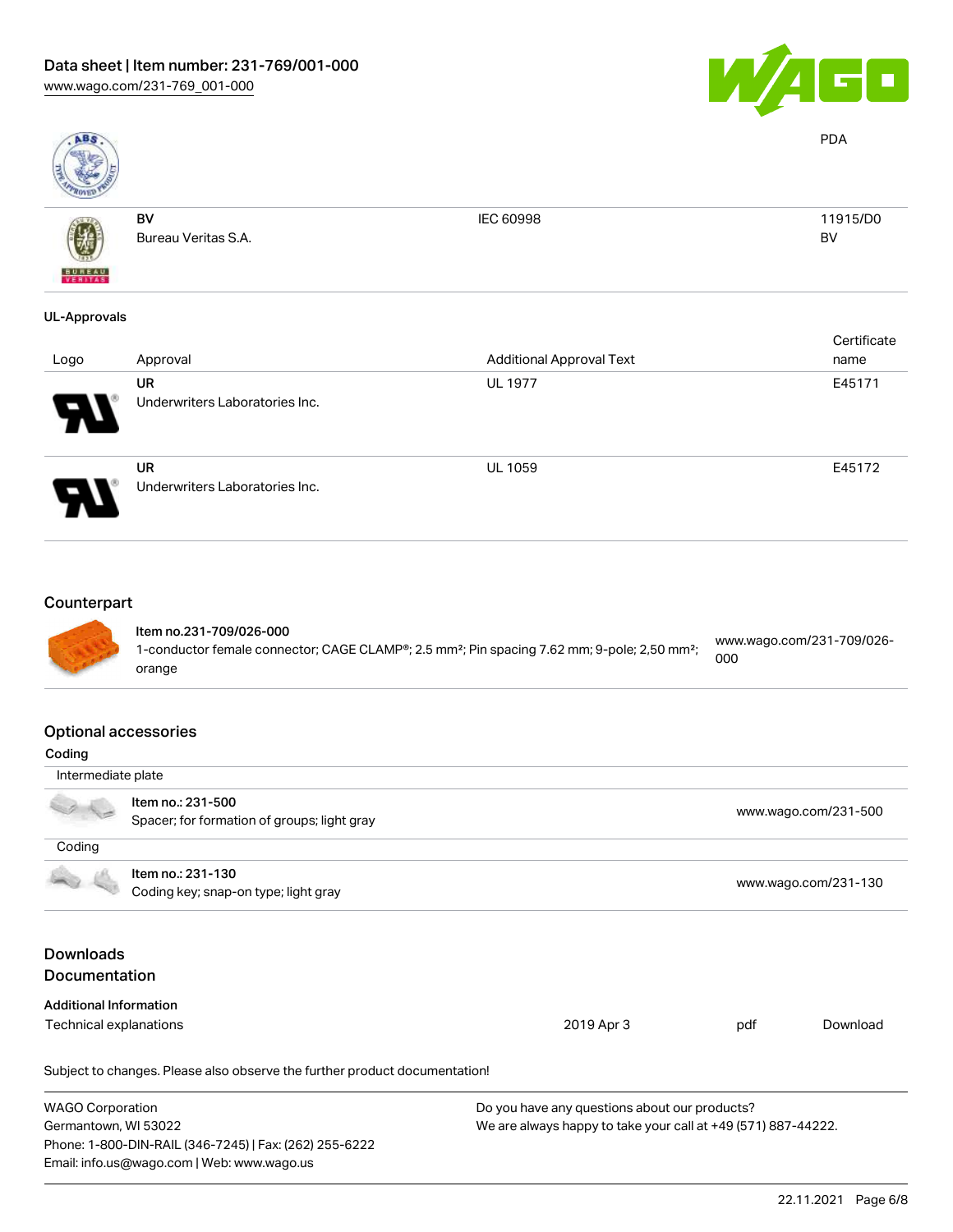

PDA

BV



BV

Bureau Veritas S.A.

IEC 60998 11915/D0

# UL-Approvals

| Logo                       | Approval                                    | <b>Additional Approval Text</b> | Certificate<br>name |
|----------------------------|---------------------------------------------|---------------------------------|---------------------|
| 8                          | UR<br>Underwriters Laboratories Inc.        | <b>UL 1977</b>                  | E45171              |
| $\boldsymbol{\mathcal{A}}$ | <b>UR</b><br>Underwriters Laboratories Inc. | <b>UL 1059</b>                  | E45172              |

# **Counterpart**



#### Item no.231-709/026-000 1-conductor female connector; CAGE CLAMP®; 2.5 mm²; Pin spacing 7.62 mm; 9-pole; 2,50 mm²; orange [www.wago.com/231-709/026-](https://www.wago.com/231-709/026-000) [000](https://www.wago.com/231-709/026-000)

#### Optional accessories

| Coding                        |                                                                            |                                                               |     |                      |  |
|-------------------------------|----------------------------------------------------------------------------|---------------------------------------------------------------|-----|----------------------|--|
| Intermediate plate            |                                                                            |                                                               |     |                      |  |
|                               | Item no.: 231-500                                                          |                                                               |     |                      |  |
|                               | Spacer; for formation of groups; light gray                                |                                                               |     | www.wago.com/231-500 |  |
| Coding                        |                                                                            |                                                               |     |                      |  |
|                               | Item no.: 231-130                                                          |                                                               |     |                      |  |
|                               | Coding key; snap-on type; light gray                                       |                                                               |     | www.wago.com/231-130 |  |
|                               |                                                                            |                                                               |     |                      |  |
| <b>Downloads</b>              |                                                                            |                                                               |     |                      |  |
| <b>Documentation</b>          |                                                                            |                                                               |     |                      |  |
| <b>Additional Information</b> |                                                                            |                                                               |     |                      |  |
| Technical explanations        |                                                                            | 2019 Apr 3                                                    | pdf | Download             |  |
|                               | Subject to changes. Please also observe the further product documentation! |                                                               |     |                      |  |
| <b>WAGO Corporation</b>       |                                                                            | Do you have any questions about our products?                 |     |                      |  |
| Germantown, WI 53022          |                                                                            | We are always happy to take your call at +49 (571) 887-44222. |     |                      |  |
|                               | Phone: 1-800-DIN-RAIL (346-7245)   Fax: (262) 255-6222                     |                                                               |     |                      |  |
|                               | Email: info.us@wago.com   Web: www.wago.us                                 |                                                               |     |                      |  |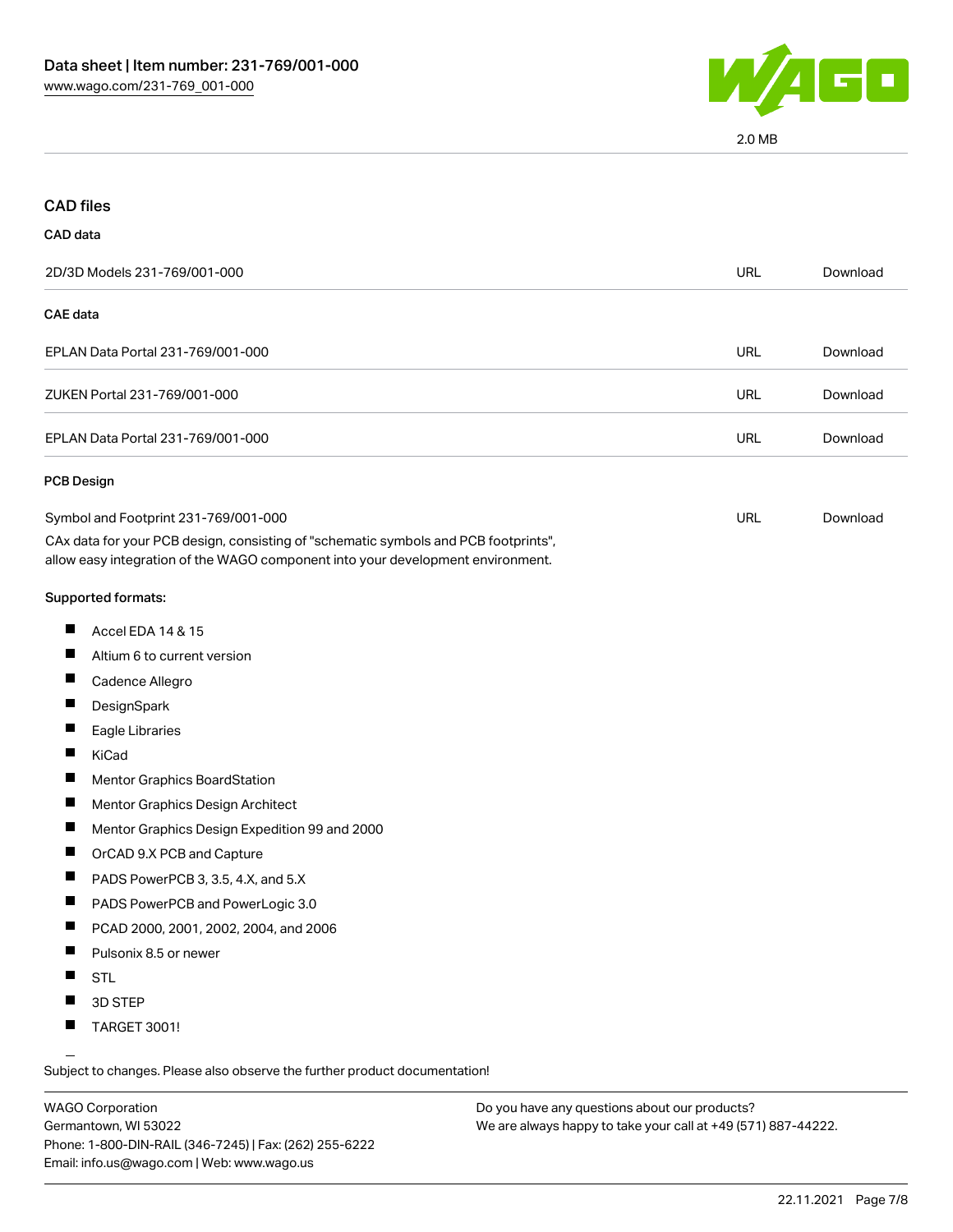

2.0 MB

| <b>CAD files</b>                                                                                                                                                                                               |            |          |
|----------------------------------------------------------------------------------------------------------------------------------------------------------------------------------------------------------------|------------|----------|
| CAD data                                                                                                                                                                                                       |            |          |
| 2D/3D Models 231-769/001-000                                                                                                                                                                                   | <b>URL</b> | Download |
| <b>CAE</b> data                                                                                                                                                                                                |            |          |
| EPLAN Data Portal 231-769/001-000                                                                                                                                                                              | <b>URL</b> | Download |
| ZUKEN Portal 231-769/001-000                                                                                                                                                                                   | URL        | Download |
| EPLAN Data Portal 231-769/001-000                                                                                                                                                                              | <b>URL</b> | Download |
| PCB Design                                                                                                                                                                                                     |            |          |
| Symbol and Footprint 231-769/001-000<br>CAx data for your PCB design, consisting of "schematic symbols and PCB footprints",<br>allow easy integration of the WAGO component into your development environment. | URL        | Download |
| Supported formats:                                                                                                                                                                                             |            |          |
| ш<br>Accel EDA 14 & 15                                                                                                                                                                                         |            |          |
| ш<br>Altium 6 to current version                                                                                                                                                                               |            |          |
| ш<br>Cadence Allegro                                                                                                                                                                                           |            |          |
| ш<br>DesignSpark                                                                                                                                                                                               |            |          |
| ш<br>Eagle Libraries                                                                                                                                                                                           |            |          |
| ш<br>KiCad                                                                                                                                                                                                     |            |          |
| ш<br>Mentor Graphics BoardStation                                                                                                                                                                              |            |          |
| ш<br>Mentor Graphics Design Architect                                                                                                                                                                          |            |          |
| Mentor Graphics Design Expedition 99 and 2000                                                                                                                                                                  |            |          |
| ш<br>OrCAD 9.X PCB and Capture                                                                                                                                                                                 |            |          |
| ш<br>PADS PowerPCB 3, 3.5, 4.X, and 5.X                                                                                                                                                                        |            |          |
| PADS PowerPCB and PowerLogic 3.0<br>$\mathcal{L}$                                                                                                                                                              |            |          |
| PCAD 2000, 2001, 2002, 2004, and 2006                                                                                                                                                                          |            |          |
| Pulsonix 8.5 or newer<br>ш                                                                                                                                                                                     |            |          |
| <b>STL</b>                                                                                                                                                                                                     |            |          |
| 3D STEP                                                                                                                                                                                                        |            |          |
| TARGET 3001!<br>ш                                                                                                                                                                                              |            |          |

Subject to changes. Please also observe the further product documentation!

WAGO Corporation Germantown, WI 53022 Phone: 1-800-DIN-RAIL (346-7245) | Fax: (262) 255-6222 Email: info.us@wago.com | Web: www.wago.us